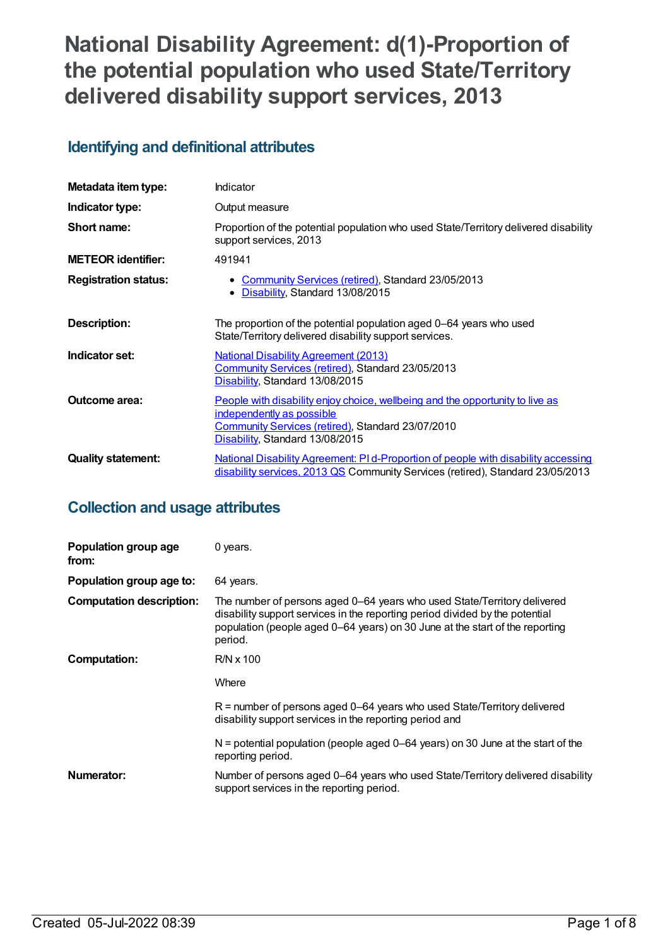# **National Disability Agreement: d(1)-Proportion of the potential population who used State/Territory delivered disability support services, 2013**

## **Identifying and definitional attributes**

| Metadata item type:         | Indicator                                                                                                                                                                                          |
|-----------------------------|----------------------------------------------------------------------------------------------------------------------------------------------------------------------------------------------------|
| Indicator type:             | Output measure                                                                                                                                                                                     |
| Short name:                 | Proportion of the potential population who used State/Territory delivered disability<br>support services, 2013                                                                                     |
| <b>METEOR identifier:</b>   | 491941                                                                                                                                                                                             |
| <b>Registration status:</b> | • Community Services (retired), Standard 23/05/2013<br>Disability, Standard 13/08/2015<br>٠                                                                                                        |
| Description:                | The proportion of the potential population aged 0–64 years who used<br>State/Territory delivered disability support services.                                                                      |
| Indicator set:              | <b>National Disability Agreement (2013)</b><br>Community Services (retired), Standard 23/05/2013<br>Disability, Standard 13/08/2015                                                                |
| <b>Outcome area:</b>        | People with disability enjoy choice, wellbeing and the opportunity to live as<br>independently as possible<br>Community Services (retired), Standard 23/07/2010<br>Disability, Standard 13/08/2015 |
| <b>Quality statement:</b>   | National Disability Agreement: PI d-Proportion of people with disability accessing<br>disability services, 2013 QS Community Services (retired), Standard 23/05/2013                               |

## **Collection and usage attributes**

| Population group age<br>from:   | 0 years.                                                                                                                                                                                                                                            |
|---------------------------------|-----------------------------------------------------------------------------------------------------------------------------------------------------------------------------------------------------------------------------------------------------|
| Population group age to:        | 64 years.                                                                                                                                                                                                                                           |
| <b>Computation description:</b> | The number of persons aged 0–64 years who used State/Territory delivered<br>disability support services in the reporting period divided by the potential<br>population (people aged 0–64 years) on 30 June at the start of the reporting<br>period. |
| <b>Computation:</b>             | $R/N \times 100$                                                                                                                                                                                                                                    |
|                                 | Where                                                                                                                                                                                                                                               |
|                                 | $R$ = number of persons aged 0–64 years who used State/Territory delivered<br>disability support services in the reporting period and                                                                                                               |
|                                 | $N =$ potential population (people aged 0–64 years) on 30 June at the start of the<br>reporting period.                                                                                                                                             |
| Numerator:                      | Number of persons aged 0–64 years who used State/Territory delivered disability<br>support services in the reporting period.                                                                                                                        |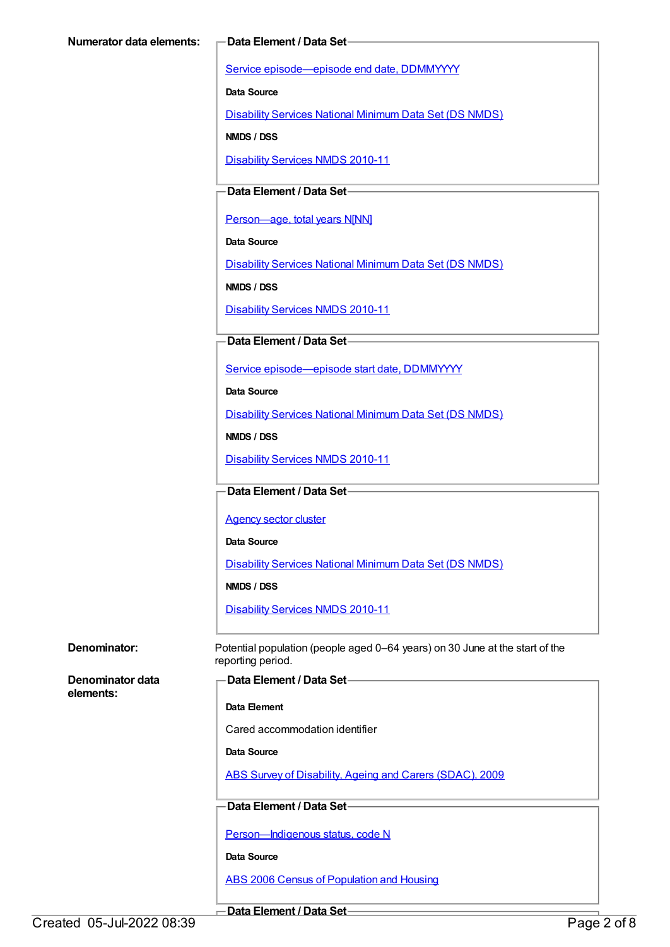Service [episode—episode](https://meteor.aihw.gov.au/content/270160) end date, DDMMYYYY

**Data Source**

[Disability](https://meteor.aihw.gov.au/content/393884) Services National Minimum Data Set (DS NMDS)

**NMDS / DSS**

[Disability](https://meteor.aihw.gov.au/content/428708) Services NMDS 2010-11

### **Data Element / Data Set**

[Person—age,](https://meteor.aihw.gov.au/content/303794) total years N[NN]

**Data Source**

[Disability](https://meteor.aihw.gov.au/content/393884) Services National Minimum Data Set (DS NMDS)

**NMDS / DSS**

[Disability](https://meteor.aihw.gov.au/content/428708) Services NMDS 2010-11

#### **Data Element / Data Set**

Service [episode—episode](https://meteor.aihw.gov.au/content/338558) start date, DDMMYYYY

**Data Source**

[Disability](https://meteor.aihw.gov.au/content/393884) Services National Minimum Data Set (DS NMDS)

**NMDS / DSS**

[Disability](https://meteor.aihw.gov.au/content/428708) Services NMDS 2010-11

#### **Data Element / Data Set**

[Agency](https://meteor.aihw.gov.au/content/497979) sector cluster

**Data Source**

[Disability](https://meteor.aihw.gov.au/content/393884) Services National Minimum Data Set (DS NMDS)

**NMDS / DSS**

[Disability](https://meteor.aihw.gov.au/content/428708) Services NMDS 2010-11

**Denominator:** Potential population (people aged 0–64 years) on 30 June at the start of the reporting period.

**Denominator data elements:**

#### **Data Element / Data Set**

**Data Element**

Cared accommodation identifier

**Data Source**

ABS Survey of [Disability,](https://meteor.aihw.gov.au/content/445288) Ageing and Carers (SDAC), 2009

#### **Data Element / Data Set**

Person-Indigenous status, code N

**Data Source**

ABS 2006 Census of [Population](https://meteor.aihw.gov.au/content/394447) and Housing

**Data Element / Data Set**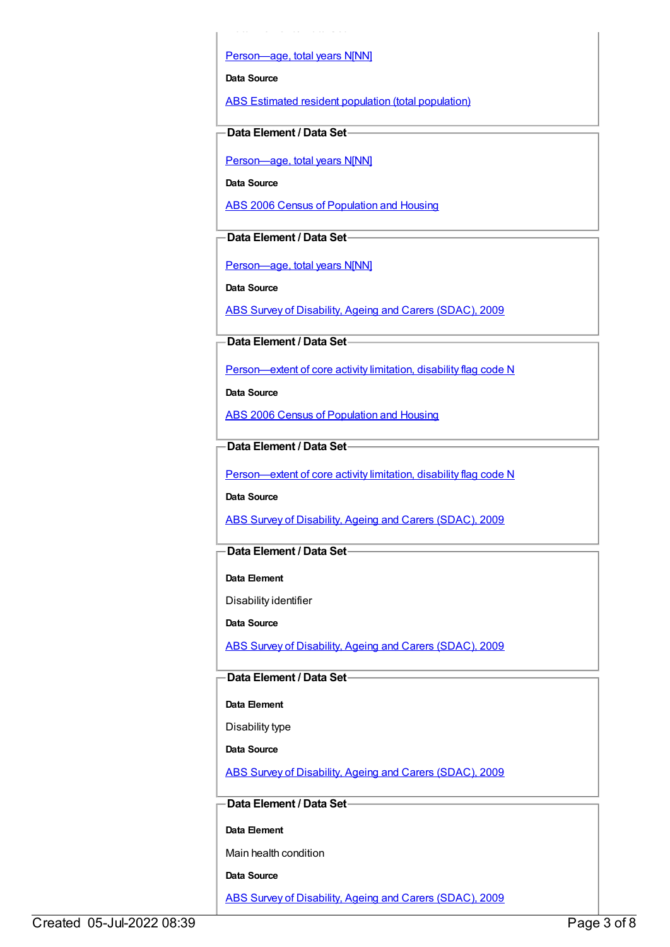Person-age, total years N[NN]

**Data Element / Data Set**

**Data Source**

ABS Estimated resident population (total [population\)](https://meteor.aihw.gov.au/content/393625)

**Data Element / Data Set**

Person-age, total years N[NN]

**Data Source**

ABS 2006 Census of [Population](https://meteor.aihw.gov.au/content/394447) and Housing

**Data Element / Data Set**

[Person—age,](https://meteor.aihw.gov.au/content/303794) total years N[NN]

**Data Source**

ABS Survey of [Disability,](https://meteor.aihw.gov.au/content/445288) Ageing and Carers (SDAC), 2009

**Data Element / Data Set**

[Person—extent](https://meteor.aihw.gov.au/content/541585) of core activity limitation, disability flag code N

**Data Source**

ABS 2006 Census of [Population](https://meteor.aihw.gov.au/content/394447) and Housing

**Data Element / Data Set**

[Person—extent](https://meteor.aihw.gov.au/content/541585) of core activity limitation, disability flag code N

**Data Source**

ABS Survey of [Disability,](https://meteor.aihw.gov.au/content/445288) Ageing and Carers (SDAC), 2009

#### **Data Element / Data Set**

**Data Element**

Disability identifier

**Data Source**

ABS Survey of [Disability,](https://meteor.aihw.gov.au/content/445288) Ageing and Carers (SDAC), 2009

### **Data Element / Data Set**

**Data Element**

Disability type

**Data Source**

ABS Survey of [Disability,](https://meteor.aihw.gov.au/content/445288) Ageing and Carers (SDAC), 2009

#### **Data Element / Data Set**

**Data Element**

Main health condition

**Data Source**

ABS Survey of [Disability,](https://meteor.aihw.gov.au/content/445288) Ageing and Carers (SDAC), 2009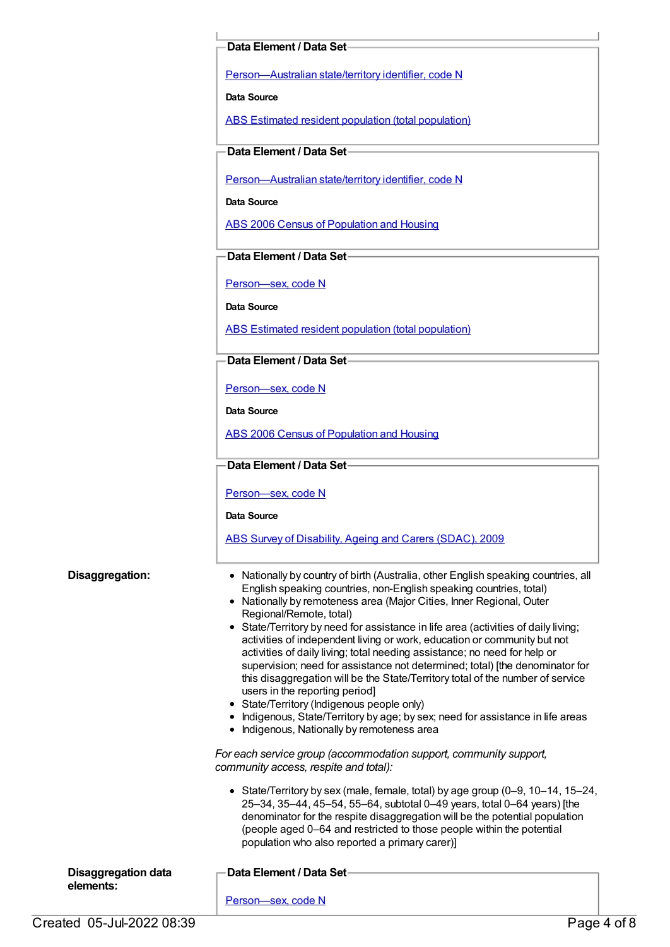#### **Data Element / Data Set**

[Person—Australian](https://meteor.aihw.gov.au/content/286919) state/territory identifier, code N

**Data Source**

ABS Estimated resident population (total [population\)](https://meteor.aihw.gov.au/content/393625)

**Data Element / Data Set**

[Person—Australian](https://meteor.aihw.gov.au/content/286919) state/territory identifier, code N

**Data Source**

ABS 2006 Census of [Population](https://meteor.aihw.gov.au/content/394447) and Housing

**Data Element / Data Set**

[Person—sex,](https://meteor.aihw.gov.au/content/287316) code N

**Data Source**

ABS Estimated resident population (total [population\)](https://meteor.aihw.gov.au/content/393625)

**Data Element / Data Set**

[Person—sex,](https://meteor.aihw.gov.au/content/287316) code N

**Data Source**

ABS 2006 Census of [Population](https://meteor.aihw.gov.au/content/394447) and Housing

#### **Data Element / Data Set**

[Person—sex,](https://meteor.aihw.gov.au/content/287316) code N

**Data Source**

ABS Survey of [Disability,](https://meteor.aihw.gov.au/content/445288) Ageing and Carers (SDAC), 2009

- **Disaggregation:** Nationally by country of birth (Australia, other English speaking countries, all English speaking countries, non-English speaking countries, total)
	- Nationally by remoteness area (Major Cities, Inner Regional, Outer Regional/Remote, total)
	- State/Territory by need for assistance in life area (activities of daily living; activities of independent living or work, education or community but not activities of daily living; total needing assistance; no need for help or supervision; need for assistance not determined; total) [the denominator for this disaggregation will be the State/Territory total of the number of service users in the reporting period]
	- State/Territory (Indigenous people only)
	- Indigenous, State/Territory by age; by sex; need for assistance in life areas
	- Indigenous, Nationally by remoteness area

*For each service group (accommodation support, community support, community access, respite and total):*

State/Territory by sex (male, female, total) by age group (0–9, 10–14, 15–24, 25–34, 35–44, 45–54, 55–64, subtotal 0–49 years, total 0–64 years) [the denominator for the respite disaggregation will be the potential population (people aged 0–64 and restricted to those people within the potential population who also reported a primary carer)]

| <b>Disaggregation data</b> | -Data Element / Data Set |
|----------------------------|--------------------------|
|                            |                          |
| elements:                  |                          |
|                            | Person-sex, code N       |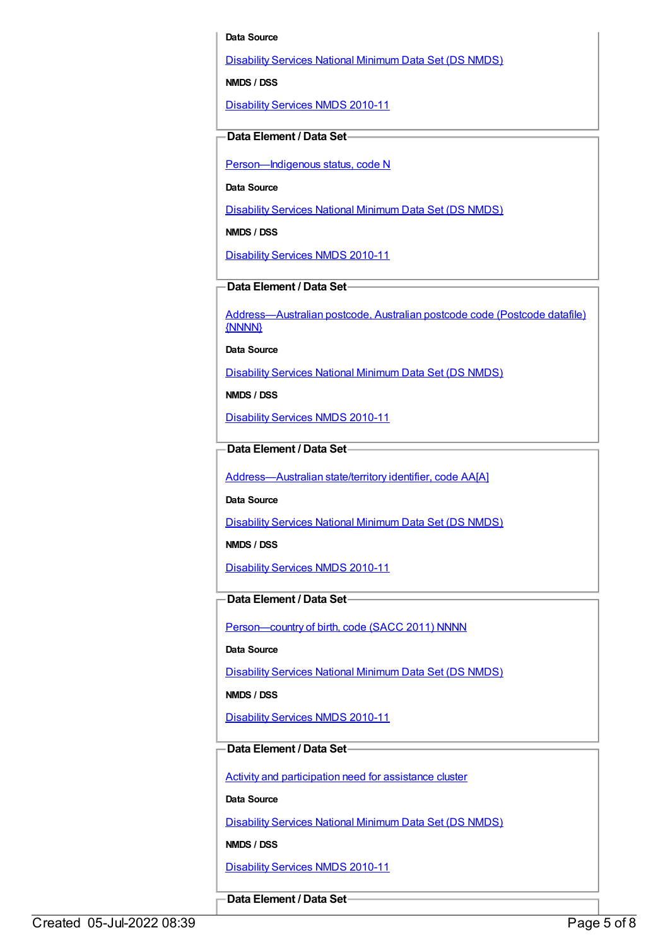#### **Data Source**

[Disability](https://meteor.aihw.gov.au/content/393884) Services National Minimum Data Set (DS NMDS)

**NMDS / DSS**

[Disability](https://meteor.aihw.gov.au/content/428708) Services NMDS 2010-11

#### **Data Element / Data Set**

[Person—Indigenous](https://meteor.aihw.gov.au/content/291036) status, code N

**Data Source**

[Disability](https://meteor.aihw.gov.au/content/393884) Services National Minimum Data Set (DS NMDS)

**NMDS / DSS**

[Disability](https://meteor.aihw.gov.au/content/428708) Services NMDS 2010-11

**Data Element / Data Set**

[Address—Australian](https://meteor.aihw.gov.au/content/429894) postcode, Australian postcode code (Postcode datafile) {NNNN}

**Data Source**

[Disability](https://meteor.aihw.gov.au/content/393884) Services National Minimum Data Set (DS NMDS)

**NMDS / DSS**

[Disability](https://meteor.aihw.gov.au/content/428708) Services NMDS 2010-11

**Data Element / Data Set**

[Address—Australian](https://meteor.aihw.gov.au/content/430134) state/territory identifier, code AA[A]

**Data Source**

[Disability](https://meteor.aihw.gov.au/content/393884) Services National Minimum Data Set (DS NMDS)

**NMDS / DSS**

[Disability](https://meteor.aihw.gov.au/content/428708) Services NMDS 2010-11

#### **Data Element / Data Set**

Person-country of birth, code (SACC 2011) NNNN

**Data Source**

[Disability](https://meteor.aihw.gov.au/content/393884) Services National Minimum Data Set (DS NMDS)

**NMDS / DSS**

[Disability](https://meteor.aihw.gov.au/content/428708) Services NMDS 2010-11

#### **Data Element / Data Set**

Activity and [participation](https://meteor.aihw.gov.au/content/492069) need for assistance cluster

**Data Source**

[Disability](https://meteor.aihw.gov.au/content/393884) Services National Minimum Data Set (DS NMDS)

**NMDS / DSS**

[Disability](https://meteor.aihw.gov.au/content/428708) Services NMDS 2010-11

**Data Element / Data Set**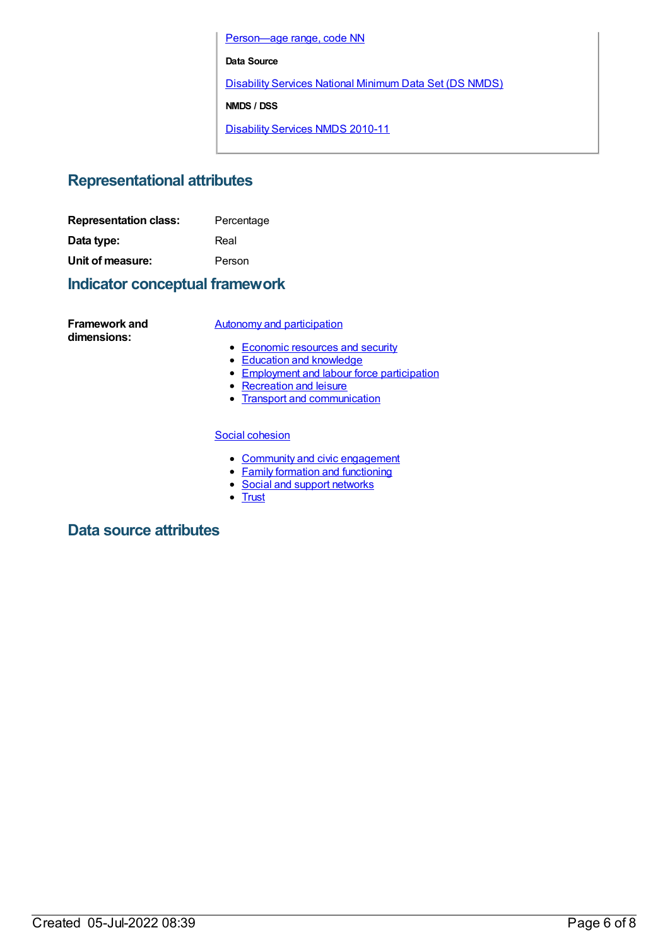[Person—age](https://meteor.aihw.gov.au/content/515531) range, code NN

**Data Source**

[Disability](https://meteor.aihw.gov.au/content/393884) Services National Minimum Data Set (DS NMDS)

**NMDS / DSS**

[Disability](https://meteor.aihw.gov.au/content/428708) Services NMDS 2010-11

## **Representational attributes**

| <b>Representation class:</b> | Percentage |
|------------------------------|------------|
| Data type:                   | Real       |
| Unit of measure:             | Person     |

## **Indicator conceptual framework**

**Framework and dimensions:**

#### Autonomy and [participation](https://meteor.aihw.gov.au/content/392703)

- [Economic](https://meteor.aihw.gov.au/content/392708) resources and security
- Education and [knowledge](https://meteor.aihw.gov.au/content/392707)
- **[Employment](https://meteor.aihw.gov.au/content/392706) and labour force participation**
- [Recreation](https://meteor.aihw.gov.au/content/392705) and leisure
- Transport and [communication](https://meteor.aihw.gov.au/content/392704)

#### Social [cohesion](https://meteor.aihw.gov.au/content/392693)

- Community and civic [engagement](https://meteor.aihw.gov.au/content/392697)
- Family formation and [functioning](https://meteor.aihw.gov.au/content/392696)
- Social and support [networks](https://meteor.aihw.gov.au/content/392695)
- [Trust](https://meteor.aihw.gov.au/content/392694)

## **Data source attributes**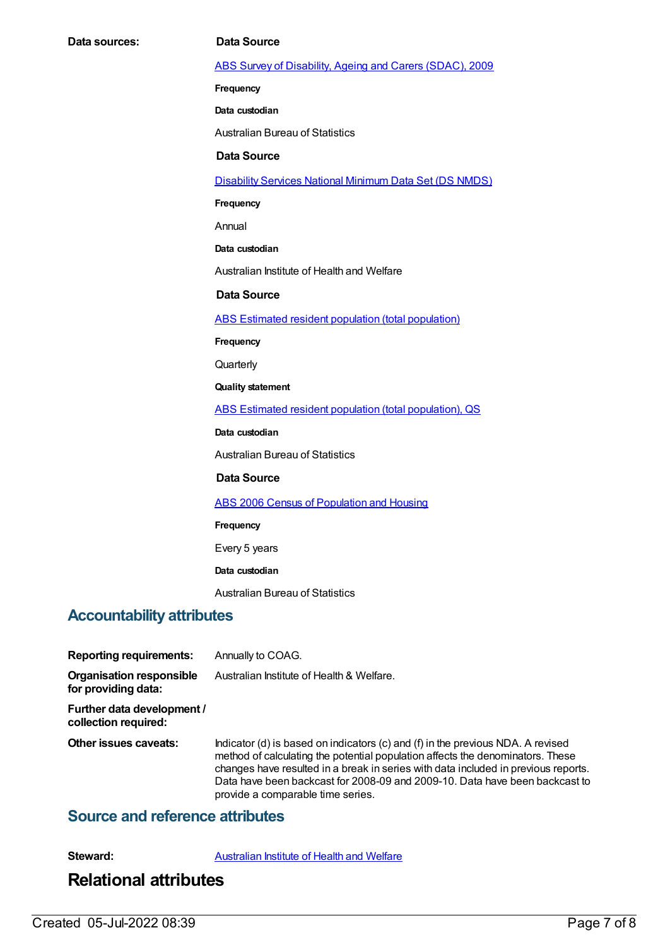#### ABS Survey of [Disability,](https://meteor.aihw.gov.au/content/445288) Ageing and Carers (SDAC), 2009

**Frequency**

**Data custodian**

Australian Bureau of Statistics

#### **Data Source**

[Disability](https://meteor.aihw.gov.au/content/393884) Services National Minimum Data Set (DS NMDS)

**Frequency**

Annual

**Data custodian**

Australian Institute of Health and Welfare

**Data Source**

ABS Estimated resident population (total [population\)](https://meteor.aihw.gov.au/content/393625)

**Frequency**

**Quarterly** 

**Quality statement**

ABS Estimated resident population (total [population\),](https://meteor.aihw.gov.au/content/449216) QS

**Data custodian**

Australian Bureau of Statistics

#### **Data Source**

ABS 2006 Census of [Population](https://meteor.aihw.gov.au/content/394447) and Housing

#### **Frequency**

Every 5 years

**Data custodian**

Australian Bureau of Statistics

### **Accountability attributes**

**Reporting requirements:** Annually to COAG.

**Organisation responsible for providing data:** Australian Institute of Health & Welfare.

**Further data development / collection required:**

**Other issues caveats:** Indicator (d) is based on indicators (c) and (f) in the previous NDA. A revised method of calculating the potential population affects the denominators. These changes have resulted in a break in series with data included in previous reports. Data have been backcast for 2008-09 and 2009-10. Data have been backcast to provide a comparable time series.

### **Source and reference attributes**

**Steward:** [Australian](https://meteor.aihw.gov.au/content/246013) Institute of Health and Welfare

## **Relational attributes**